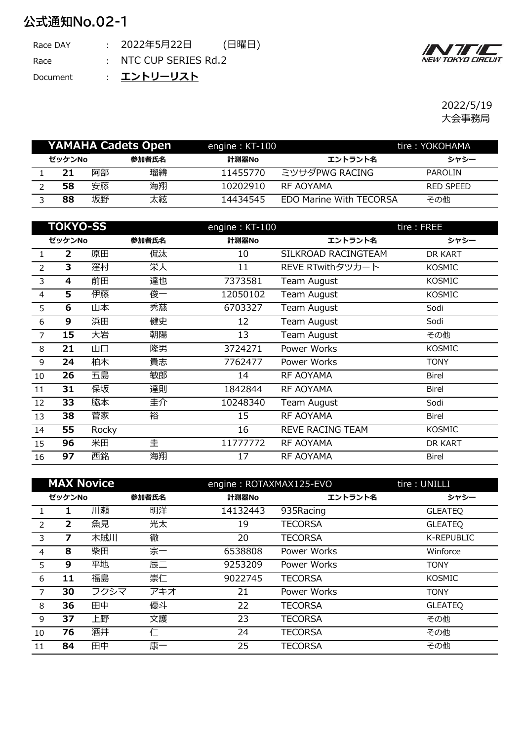## **公式通知No.02-1**

| Race DAY | : 2022年5月22日          | (日曜日) |
|----------|-----------------------|-------|
| Race     | : NTC CUP SERIES Rd.2 |       |

: Document **エントリーリスト**



2022/5/19 大会事務局

|        |    | YAMAHA Cadets Open | engine: $KT-100$ |                                | tire: YOKOHAMA |
|--------|----|--------------------|------------------|--------------------------------|----------------|
| ゼッケンNo |    | 参加者氏名              | 計測器No            | エントラント名                        | シャシー           |
| 21     | 阿部 | 瑠緯                 | 11455770         | ミツサダPWG RACING                 | <b>PAROLIN</b> |
| 58     | 安藤 | 海翔                 | 10202910         | RF AOYAMA                      | RED SPEED      |
| 88     | 坂野 | 太絃                 | 14434545         | <b>EDO Marine With TECORSA</b> | その他            |

|                | <b>TOKYO-SS</b> |       |       | engine: KT-100 |                     | tire: FREE    |
|----------------|-----------------|-------|-------|----------------|---------------------|---------------|
|                | ゼッケンNo          |       | 参加者氏名 | 計測器No          | エントラント名             | シャシー          |
| $\mathbf{1}$   | 2               | 原田    | 侃汰    | 10             | SILKROAD RACINGTEAM | DR KART       |
| $\overline{2}$ | 3               | 窪村    | 栄人    | 11             | REVE RTwithタツカート    | <b>KOSMIC</b> |
| 3              | 4               | 前田    | 達也    | 7373581        | Team August         | <b>KOSMIC</b> |
| $\overline{4}$ | 5               | 伊藤    | 俊一    | 12050102       | Team August         | <b>KOSMIC</b> |
| 5              | 6               | 山本    | 秀慈    | 6703327        | Team August         | Sodi          |
| 6              | 9               | 浜田    | 健史    | 12             | Team August         | Sodi          |
| 7              | 15              | 大岩    | 朝陽    | 13             | Team August         | その他           |
| 8              | 21              | 山口    | 隆男    | 3724271        | Power Works         | <b>KOSMIC</b> |
| 9              | 24              | 柏木    | 貴志    | 7762477        | Power Works         | <b>TONY</b>   |
| 10             | 26              | 五島    | 敏郎    | 14             | RF AOYAMA           | <b>Birel</b>  |
| 11             | 31              | 保坂    | 達則    | 1842844        | <b>RF AOYAMA</b>    | <b>Birel</b>  |
| 12             | 33              | 脇本    | 圭介    | 10248340       | Team August         | Sodi          |
| 13             | 38              | 菅家    | 裕     | 15             | <b>RF AOYAMA</b>    | <b>Birel</b>  |
| 14             | 55              | Rocky |       | 16             | REVE RACING TEAM    | <b>KOSMIC</b> |
| 15             | 96              | 米田    | 圭     | 11777772       | RF AOYAMA           | DR KART       |
| 16             | 97              | 西銘    | 海翔    | 17             | RF AOYAMA           | <b>Birel</b>  |

| <b>MAX Novice</b> |                |      |       | engine: ROTAXMAX125-EVO |                | tire: UNILLI   |
|-------------------|----------------|------|-------|-------------------------|----------------|----------------|
| ゼッケンNo<br>参加者氏名   |                |      | 計測器No | エントラント名                 | シャシー           |                |
|                   | 1              | 川瀬   | 明洋    | 14132443                | 935Racing      | <b>GLEATEQ</b> |
| $\overline{z}$    | $\overline{2}$ | 魚見   | 光太    | 19                      | <b>TECORSA</b> | <b>GLEATEQ</b> |
| 3                 | 7              | 木賊川  | 徹     | 20                      | <b>TECORSA</b> | K-REPUBLIC     |
| 4                 | 8              | 柴田   | 宗一    | 6538808                 | Power Works    | Winforce       |
| 5                 | 9              | 平地   | 辰二    | 9253209                 | Power Works    | <b>TONY</b>    |
| 6                 | 11             | 福島   | 崇仁    | 9022745                 | <b>TECORSA</b> | <b>KOSMIC</b>  |
| $\overline{7}$    | 30             | フクシマ | アキオ   | 21                      | Power Works    | <b>TONY</b>    |
| - 8               | 36             | 田中   | 優斗    | 22                      | <b>TECORSA</b> | <b>GLEATEQ</b> |
| 9                 | 37             | 上野   | 文護    | 23                      | <b>TECORSA</b> | その他            |
| 10                | 76             | 酒井   | 仁     | 24                      | <b>TECORSA</b> | その他            |
| 11                | 84             | 田中   | 康一    | 25                      | <b>TECORSA</b> | その他            |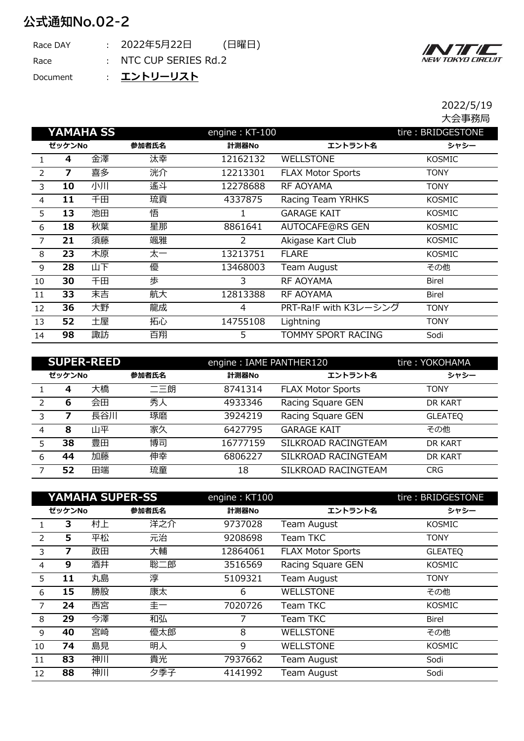## **公式通知No.02-2**

| Race DAY | : 2022年5月22日          | (日曜日) |
|----------|-----------------------|-------|
| Race     | : NTC CUP SERIES Rd.2 |       |
|          | _________             |       |

: Document **エントリーリスト**



2022/5/19 大会事務局

|                |        | <b>YAMAHA SS</b> |       | engine: KT-100 |                          | tire: BRIDGESTONE |
|----------------|--------|------------------|-------|----------------|--------------------------|-------------------|
|                | ゼッケンNo |                  | 参加者氏名 | 計測器No          | エントラント名                  | シャシー              |
| $\mathbf{1}$   | 4      | 金澤               | 汰幸    | 12162132       | <b>WELLSTONE</b>         | <b>KOSMIC</b>     |
| 2              | 7      | 喜多               | 洸介    | 12213301       | <b>FLAX Motor Sports</b> | <b>TONY</b>       |
| 3              | 10     | 小川               | 遙斗    | 12278688       | <b>RF AOYAMA</b>         | <b>TONY</b>       |
| $\overline{4}$ | 11     | 千田               | 琉貢    | 4337875        | Racing Team YRHKS        | <b>KOSMIC</b>     |
| 5              | 13     | 池田               | 悟     |                | <b>GARAGE KAIT</b>       | <b>KOSMIC</b>     |
| 6              | 18     | 秋葉               | 星那    | 8861641        | <b>AUTOCAFE@RS GEN</b>   | <b>KOSMIC</b>     |
| $\overline{7}$ | 21     | 須藤               | 颯雅    | 2              | Akigase Kart Club        | <b>KOSMIC</b>     |
| 8              | 23     | 木原               | 太一    | 13213751       | <b>FLARE</b>             | <b>KOSMIC</b>     |
| 9              | 28     | 山下               | 優     | 13468003       | Team August              | その他               |
| 10             | 30     | 千田               | 歩     | 3              | <b>RF AOYAMA</b>         | <b>Birel</b>      |
| 11             | 33     | 末吉               | 航大    | 12813388       | RF AOYAMA                | <b>Birel</b>      |
| 12             | 36     | 大野               | 龍成    | $\overline{4}$ | PRT-Ra!F with K3レーシング    | <b>TONY</b>       |
| 13             | 52     | 土屋               | 拓心    | 14755108       | Lightning                | <b>TONY</b>       |
| 14             | 98     | 諏訪               | 百翔    | 5              | TOMMY SPORT RACING       | Sodi              |

| <b>SUPER-REED</b> |        |     |       | engine: IAME PANTHER120 | tire: YOKOHAMA           |                |
|-------------------|--------|-----|-------|-------------------------|--------------------------|----------------|
|                   | ゼッケンNo |     | 参加者氏名 | 計測器No                   | エントラント名                  | シャシー           |
|                   | 4      | 大橋  | 二三朗   | 8741314                 | <b>FLAX Motor Sports</b> | <b>TONY</b>    |
| $\mathcal{P}$     | 6      | 会田  | 秀人    | 4933346                 | Racing Square GEN        | DR KART        |
| 3                 |        | 長谷川 | 琢磨    | 3924219                 | Racing Square GEN        | <b>GLEATEQ</b> |
| 4                 | 8      | 山平  | 家久    | 6427795                 | <b>GARAGE KAIT</b>       | その他            |
| 5.                | 38     | 豊田  | 博司    | 16777159                | SILKROAD RACINGTEAM      | DR KART        |
| 6                 | 44     | 加藤  | 伸幸    | 6806227                 | SILKROAD RACINGTEAM      | DR KART        |
|                   | 52     | 田端  | 琉童    | 18                      | SILKROAD RACINGTEAM      | <b>CRG</b>     |

| <b>YAMAHA SUPER-SS</b> |        |    |       | engine: KT100 |                   | tire: BRIDGESTONE |
|------------------------|--------|----|-------|---------------|-------------------|-------------------|
|                        | ゼッケンNo |    | 参加者氏名 | 計測器No         | エントラント名           | シャシー              |
|                        | 3      | 村上 | 洋之介   | 9737028       | Team August       | KOSMIC            |
| $\mathcal{P}$          | 5      | 平松 | 元治    | 9208698       | Team TKC          | <b>TONY</b>       |
| 3                      | 7      | 政田 | 大輔    | 12864061      | FLAX Motor Sports | <b>GLEATEQ</b>    |
| $\overline{4}$         | 9      | 酒井 | 聡二郎   | 3516569       | Racing Square GEN | <b>KOSMIC</b>     |
| 5                      | 11     | 丸島 | 淳     | 5109321       | Team August       | <b>TONY</b>       |
| 6                      | 15     | 勝股 | 康太    | 6             | <b>WELLSTONE</b>  | その他               |
| $\overline{7}$         | 24     | 西宮 | 圭一    | 7020726       | Team TKC          | KOSMIC            |
| 8                      | 29     | 今澤 | 和弘    | 7             | Team TKC          | <b>Birel</b>      |
| 9                      | 40     | 宮崎 | 優太郎   | 8             | <b>WELLSTONE</b>  | その他               |
| 10                     | 74     | 島見 | 明人    | 9             | <b>WELLSTONE</b>  | KOSMIC            |
| 11                     | 83     | 神川 | 貴光    | 7937662       | Team August       | Sodi              |
| 12                     | 88     | 神川 | 夕季子   | 4141992       | Team August       | Sodi              |